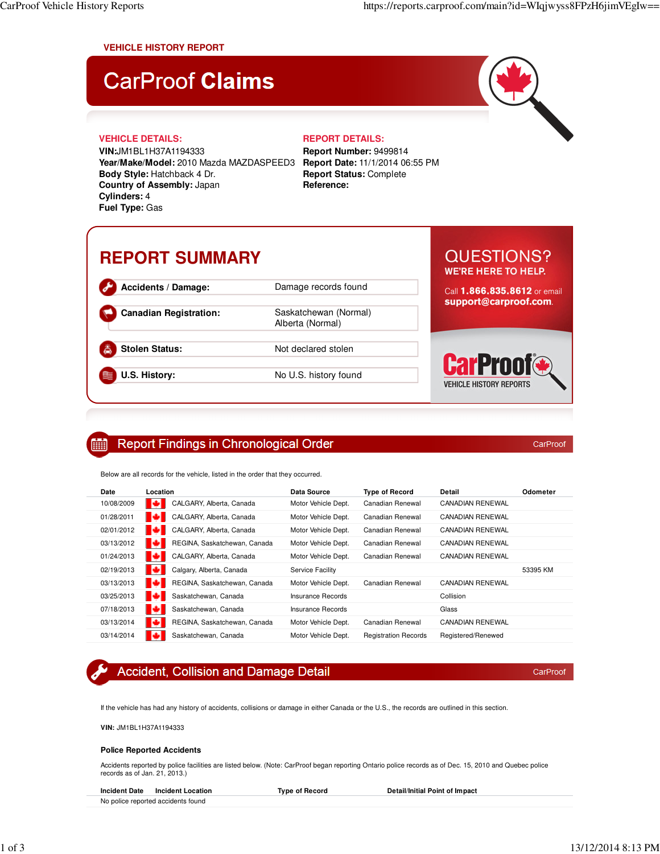### **VEHICLE HISTORY REPORT**

# **CarProof Claims**

### **VEHICLE DETAILS: REPORT DETAILS:**

**VIN:**JM1BL1H37A1194333 **Year/Make/Model:** 2010 Mazda MAZDASPEED3 **Report Date:** 11/1/2014 06:55 PM **Body Style:** Hatchback 4 Dr. **Country of Assembly:** Japan **Cylinders:** 4 **Fuel Type:** Gas

**Report Number:** 9499814 **Report Status:** Complete **Reference:**

## **REPORT SUMMARY**

| Accidents / Damage:    |
|------------------------|
| Canadian Registration: |
| Stolen Status:         |

**Accidents / Damage:** Damage records found Saskatchewan (Normal) Alberta (Normal)

**Not declared stolen** 

**U.S. History:** No U.S. history found

### **QUESTIONS? WE'RE HERE TO HELP.**

Call 1.866.835.8612 or email support@carproof.com.



CarProof

CarProof

#### **Report Findings in Chronological Order** m

Below are all records for the vehicle, listed in the order that they occurred.

| Date       | Location                           | Data Source         | <b>Type of Record</b>       | Detail                  | Odometer |
|------------|------------------------------------|---------------------|-----------------------------|-------------------------|----------|
| 10/08/2009 | ю<br>CALGARY, Alberta, Canada      | Motor Vehicle Dept. | Canadian Renewal            | <b>CANADIAN RENEWAL</b> |          |
| 01/28/2011 | ю<br>CALGARY, Alberta, Canada      | Motor Vehicle Dept. | Canadian Renewal            | <b>CANADIAN RENEWAL</b> |          |
| 02/01/2012 | ю<br>CALGARY, Alberta, Canada      | Motor Vehicle Dept. | Canadian Renewal            | <b>CANADIAN RENEWAL</b> |          |
| 03/13/2012 | ю<br>REGINA, Saskatchewan, Canada  | Motor Vehicle Dept. | Canadian Renewal            | <b>CANADIAN RENEWAL</b> |          |
| 01/24/2013 | ю<br>CALGARY, Alberta, Canada      | Motor Vehicle Dept. | Canadian Renewal            | <b>CANADIAN RENEWAL</b> |          |
| 02/19/2013 | ю<br>Calgary, Alberta, Canada      | Service Facility    |                             |                         | 53395 KM |
| 03/13/2013 | REGINA, Saskatchewan, Canada<br>ĸл | Motor Vehicle Dept. | Canadian Renewal            | CANADIAN RENEWAL        |          |
| 03/25/2013 | ю<br>Saskatchewan, Canada          | Insurance Records   |                             | Collision               |          |
| 07/18/2013 | ю<br>Saskatchewan, Canada          | Insurance Records   |                             | Glass                   |          |
| 03/13/2014 | REGINA, Saskatchewan, Canada       | Motor Vehicle Dept. | Canadian Renewal            | CANADIAN RENEWAL        |          |
| 03/14/2014 | Saskatchewan, Canada<br>ю          | Motor Vehicle Dept. | <b>Registration Records</b> | Registered/Renewed      |          |

### **Accident, Collision and Damage Detail**

If the vehicle has had any history of accidents, collisions or damage in either Canada or the U.S., the records are outlined in this section.

**VIN:** JM1BL1H37A1194333

### **Police Reported Accidents**

Accidents reported by police facilities are listed below. (Note: CarProof began reporting Ontario police records as of Dec. 15, 2010 and Quebec police records as of Jan. 21, 2013.)

| <b>Incident Date</b><br>Incident Location | Tvpe of Record | Detail/Initial Point of Impact |
|-------------------------------------------|----------------|--------------------------------|
| No police reported accidents found        |                |                                |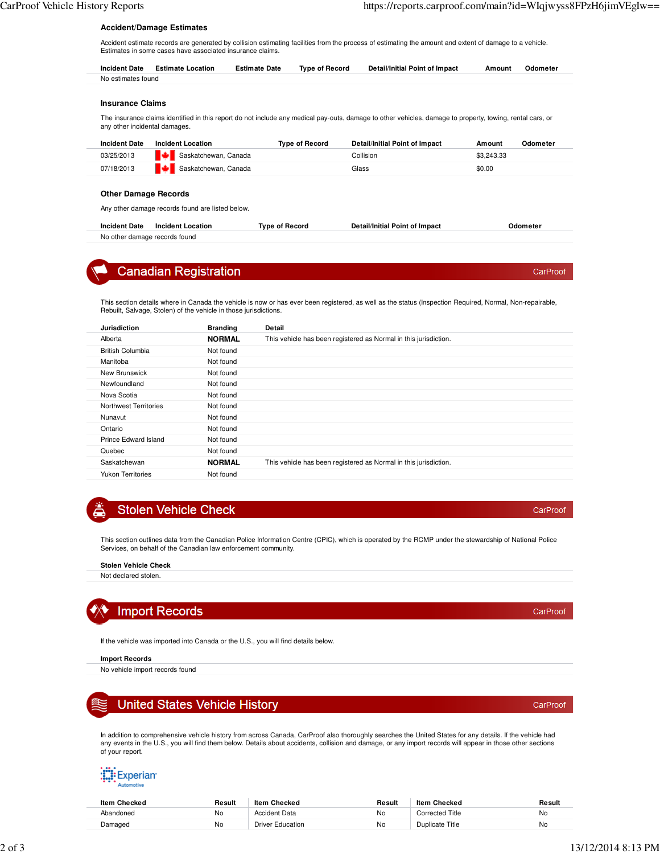### **Accident/Damage Estimates**

Accident estimate records are generated by collision estimating facilities from the process of estimating the amount and extent of damage to a vehicle. Estimates in some cases have associated insurance claims.

| <b>Incident Date</b> | <b>Estimate Location</b> | Estimate Date | Type of Record | Detail/Initial Point of Impact | Amount | Odometer |
|----------------------|--------------------------|---------------|----------------|--------------------------------|--------|----------|
| No estimates found   |                          |               |                |                                |        |          |

#### **Insurance Claims**

The insurance claims identified in this report do not include any medical pay-outs, damage to other vehicles, damage to property, towing, rental cars, or any other incidental damages.

| <b>Incident Date</b> | Incident Location    | Type of Record | Detail/Initial Point of Impact | Odometer<br>Amount |  |
|----------------------|----------------------|----------------|--------------------------------|--------------------|--|
| 03/25/2013           | Saskatchewan, Canada |                | Collision                      | \$3,243,33         |  |
| 07/18/2013           | Saskatchewan, Canada |                | Glass                          | \$0.00             |  |

### **Other Damage Records**

Any other damage records found are listed below.

| <b>Incident Date</b>          | <b>Incident Location</b> | Tvpe of Record | <b>Detail/Initial Point of Impact</b> | Odometer |
|-------------------------------|--------------------------|----------------|---------------------------------------|----------|
| No other damage records found |                          |                |                                       |          |



### **Canadian Registration**

This section details where in Canada the vehicle is now or has ever been registered, as well as the status (Inspection Required, Normal, Non-repairable, Rebuilt, Salvage, Stolen) of the vehicle in those jurisdictions.

| <b>Jurisdiction</b>      | <b>Branding</b> | Detail                                                           |
|--------------------------|-----------------|------------------------------------------------------------------|
| Alberta                  | <b>NORMAL</b>   | This vehicle has been registered as Normal in this jurisdiction. |
| <b>British Columbia</b>  | Not found       |                                                                  |
| Manitoba                 | Not found       |                                                                  |
| New Brunswick            | Not found       |                                                                  |
| Newfoundland             | Not found       |                                                                  |
| Nova Scotia              | Not found       |                                                                  |
| Northwest Territories    | Not found       |                                                                  |
| Nunavut                  | Not found       |                                                                  |
| Ontario                  | Not found       |                                                                  |
| Prince Edward Island     | Not found       |                                                                  |
| Quebec                   | Not found       |                                                                  |
| Saskatchewan             | <b>NORMAL</b>   | This vehicle has been registered as Normal in this jurisdiction. |
| <b>Yukon Territories</b> | Not found       |                                                                  |



### **Stolen Vehicle Check**

This section outlines data from the Canadian Police Information Centre (CPIC), which is operated by the RCMP under the stewardship of National Police Services, on behalf of the Canadian law enforcement community.

#### **Stolen Vehicle Check**

Not declared stolen.



### **Import Records**

If the vehicle was imported into Canada or the U.S., you will find details below.

### **Import Records**

No vehicle import records found

### **United States Vehicle History**

In addition to comprehensive vehicle history from across Canada, CarProof also thoroughly searches the United States for any details. If the vehicle had any events in the U.S., you will find them below. Details about accidents, collision and damage, or any import records will appear in those other sections of your report.

## **Experian:**

| <b>Item Checked</b> | Result | Item Checked            | Result | Item Checked    | Result |
|---------------------|--------|-------------------------|--------|-----------------|--------|
| Abandoned           | No     | <b>Accident Data</b>    | No     | Corrected Title | No     |
| Damaged             | No     | <b>Driver Education</b> | No     | Duplicate Title | Nc     |

CarProof

CarProof

CarProof

CarProof